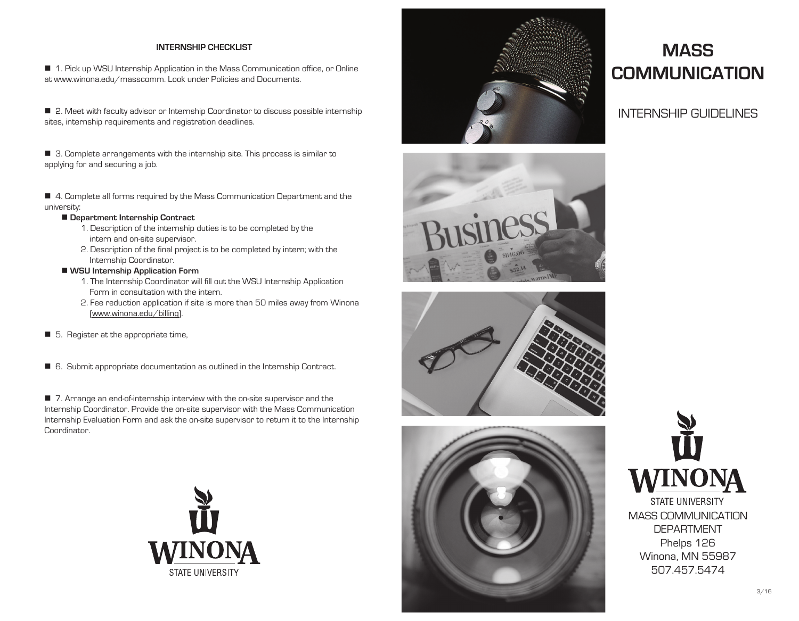# **INTERNSHIP CHECKLIST**

■ 1. Pick up WSU Internship Application in the Mass Communication office, or Online at www.winona.edu/masscomm. Look under Policies and Documents.

■ 2. Meet with faculty advisor or Internship Coordinator to discuss possible internship sites, internship requirements and registration deadlines.

■ 3. Complete arrangements with the internship site. This process is similar to applying for and securing a job.

■ 4. Complete all forms required by the Mass Communication Department and the university:

# ■ Department Internship Contract

- 1. Description of the internship duties is to be completed by the intern and on-site supervisor.
- 2. Description of the final project is to be completed by intern; with the Internship Coordinator.

# **WSU Internship Application Form**

- 1. The Internship Coordinator will fill out the WSU Internship Application Form in consultation with the intern.
- 2. Fee reduction application if site is more than 50 miles away from Winona (www.winona.edu/billing).
- 5. Register at the appropriate time,
- 6. Submit appropriate documentation as outlined in the Internship Contract.

■ 7. Arrange an end-of-internship interview with the on-site supervisor and the Internship Coordinator. Provide the on-site supervisor with the Mass Communication Internship Evaluation Form and ask the on-site supervisor to return it to the Internship Coordinator.











# **MASS COMMUNICATION**

# INTERNSHIP GUIDELINES



DEPARTMENT Phelps 126 Winona, MN 55987 507.457.5474